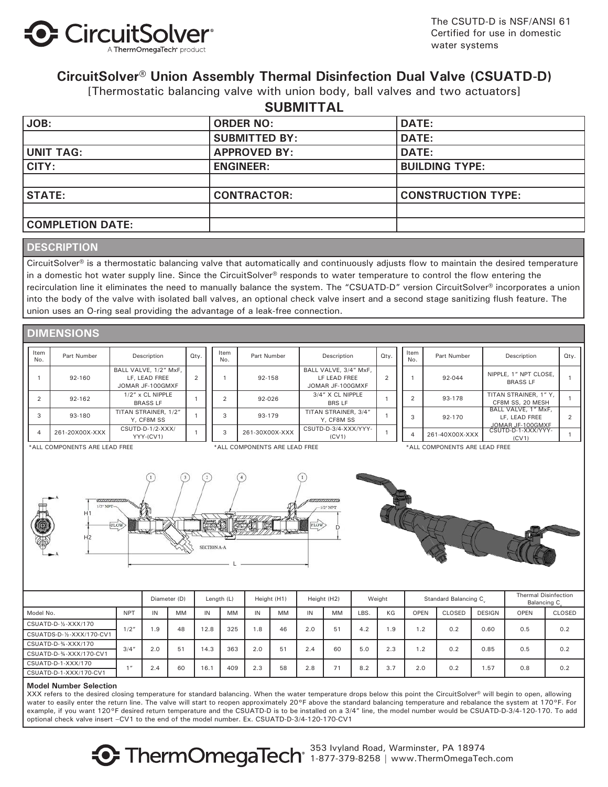

The CSUTD-D is NSF/ANSI 61 Certified for use in domestic water systems

### **CircuitSolver® Union Assembly Thermal Disinfection Dual Valve (CSUATD-D)**

[Thermostatic balancing valve with union body, ball valves and two actuators]

| <b>SUBMITTAL</b>        |                      |                           |  |  |  |  |  |
|-------------------------|----------------------|---------------------------|--|--|--|--|--|
| JOB:                    | <b>ORDER NO:</b>     | <b>DATE:</b>              |  |  |  |  |  |
|                         | <b>SUBMITTED BY:</b> | <b>DATE:</b>              |  |  |  |  |  |
| UNIT TAG:               | <b>APPROVED BY:</b>  | <b>DATE:</b>              |  |  |  |  |  |
| CITY:                   | <b>ENGINEER:</b>     | <b>BUILDING TYPE:</b>     |  |  |  |  |  |
|                         |                      |                           |  |  |  |  |  |
| <b>STATE:</b>           | <b>CONTRACTOR:</b>   | <b>CONSTRUCTION TYPE:</b> |  |  |  |  |  |
|                         |                      |                           |  |  |  |  |  |
| <b>COMPLETION DATE:</b> |                      |                           |  |  |  |  |  |

### **DESCRIPTION**

CircuitSolver® is a thermostatic balancing valve that automatically and continuously adjusts flow to maintain the desired temperature in a domestic hot water supply line. Since the CircuitSolver® responds to water temperature to control the flow entering the recirculation line it eliminates the need to manually balance the system. The "CSUATD-D" version CircuitSolver® incorporates a union into the body of the valve with isolated ball valves, an optional check valve insert and a second stage sanitizing flush feature. The union uses an O-ring seal providing the advantage of a leak-free connection.

| <b>DIMENSIONS</b> |  |  |
|-------------------|--|--|
|                   |  |  |

| Item<br>No. | Part Number    | Description                                                | Qty.   | Item<br>No. | Part Number    | Description                                               | Qty.     | Item<br>No. | Part Number    | Description                                     | Qty. |
|-------------|----------------|------------------------------------------------------------|--------|-------------|----------------|-----------------------------------------------------------|----------|-------------|----------------|-------------------------------------------------|------|
|             | 92-160         | BALL VALVE, 1/2" MxF,<br>LF. LEAD FREE<br>JOMAR JF-100GMXF | $\sim$ |             | 92-158         | BALL VALVE, 3/4" MxF,<br>LF LEAD FREE<br>JOMAR JF-100GMXF | $\Omega$ |             | 92-044         | NIPPLE, 1" NPT CLOSE,<br><b>BRASS LF</b>        |      |
|             | 92-162         | $1/2$ " x CL NIPPLE<br><b>BRASS LF</b>                     |        |             | 92-026         | 3/4" X CL NIPPLE<br><b>BRS LF</b>                         |          | $\sim$      | 93-178         | TITAN STRAINER, 1" Y,<br>CF8M SS, 20 MESH       |      |
| 3           | 93-180         | TITAN STRAINER, 1/2"<br>Y. CF8M SS                         |        | 93-179      |                | TITAN STRAINER, 3/4"<br>Y. CF8M SS                        |          | 3           | 92-170         | BALL VALVE, 1" MxF,<br>LF, LEAD FREE            |      |
|             | 261-20X00X-XXX | CSUTD-D-1/2-XXX/<br>YYY-(CV1)                              |        |             | 261-30X00X-XXX | CSUTD-D-3/4-XXX/YYY-<br>(CV1)                             |          |             | 261-40X00X-XXX | JOMAR JF-100GMXF<br>CSUTD-D-1-XXX/YYY-<br>(CV1) |      |

\*ALL COMPONENTS ARE LEAD FREE

\*ALL COMPONENTS ARE LEAD FREE \*ALL COMPONENTS ARE LEAD FREE





|                           |            | Diameter (D) |     | Length (L) |      | Height (H1) |           | Height (H2) |     | Weight |     | Standard Balancing C. |               |               | Thermal Disinfection<br>Balancing C |               |     |
|---------------------------|------------|--------------|-----|------------|------|-------------|-----------|-------------|-----|--------|-----|-----------------------|---------------|---------------|-------------------------------------|---------------|-----|
| Model No.                 | <b>NPT</b> | IN           | MM  | IN         | MM   | IN          | <b>MM</b> | IN          | MM  | LBS.   | KG  | <b>OPEN</b>           | <b>CLOSED</b> | <b>DESIGN</b> | OPEN                                | <b>CLOSED</b> |     |
| CSUATD-D-1/2-XXX/170      |            | 1/2"         | .9  | 48         | 12.8 | 325         | 1.8       | 46          | 2.0 | 51     | 4.2 | .9                    | 1.2           | 0.2           | 0.60                                | 0.5           | 0.2 |
| CSUATDS-D-1/2-XXX/170-CV1 |            |              |     |            |      |             |           |             |     |        |     |                       |               |               |                                     |               |     |
| CSUATD-D-34-XXX/170       | 3/4''      |              | 2.0 | 51         | 14.3 | 363         | 2.0       | 51          | 2.4 | 60     | 5.0 | 2.3                   | $\cdot$ 2     | 0.2           | 0.85                                | 0.5           | 0.2 |
| CSUATD-D-34-XXX/170-CV1   |            |              |     |            |      |             |           |             |     |        |     |                       |               |               |                                     |               |     |
| CSUATD-D-1-XXX/170        |            |              | 2.4 | 60         | 16.1 | 409         | 2.3       | 58          | 2.8 | 71     | 8.2 | 3.7                   | 2.0           | 0.2           | .57                                 | 0.8           | 0.2 |
| CSUATD-D-1-XXX/170-CV1    |            |              |     |            |      |             |           |             |     |        |     |                       |               |               |                                     |               |     |

#### **Model Number Selection**

XXX refers to the desired closing temperature for standard balancing. When the water temperature drops below this point the CircuitSolver® will begin to open, allowing water to easily enter the return line. The valve will start to reopen approximately 20°F above the standard balancing temperature and rebalance the system at 170°F. For example, if you want 120°F desired return temperature and the CSUATD-D is to be installed on a 3/4" line, the model number would be CSUATD-D-3/4-120-170. To add optional check valve insert –CV1 to the end of the model number. Ex. CSUATD-D-3/4-120-170-CV1

> 353 Ivyland Road, Warminster, PA 18974 1-877-379-8258 | www.ThermOmegaTech.com